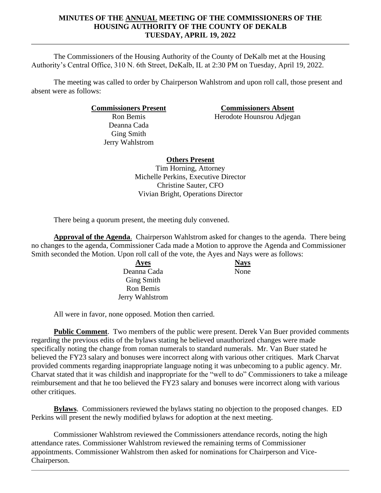### **MINUTES OF THE ANNUAL MEETING OF THE COMMISSIONERS OF THE HOUSING AUTHORITY OF THE COUNTY OF DEKALB TUESDAY, APRIL 19, 2022**

The Commissioners of the Housing Authority of the County of DeKalb met at the Housing Authority's Central Office, 310 N. 6th Street, DeKalb, IL at 2:30 PM on Tuesday, April 19, 2022.

The meeting was called to order by Chairperson Wahlstrom and upon roll call, those present and absent were as follows:

**Commissioners Present Commissioners Absent**

Ron Bemis Deanna Cada Ging Smith Jerry Wahlstrom

Herodote Hounsrou Adjegan

# **Others Present**

Tim Horning, Attorney Michelle Perkins, Executive Director Christine Sauter, CFO Vivian Bright, Operations Director

There being a quorum present, the meeting duly convened.

**Approval of the Agenda**. Chairperson Wahlstrom asked for changes to the agenda. There being no changes to the agenda, Commissioner Cada made a Motion to approve the Agenda and Commissioner Smith seconded the Motion. Upon roll call of the vote, the Ayes and Nays were as follows:

> **Ayes Nays** Deanna Cada Ging Smith Ron Bemis Jerry Wahlstrom None

All were in favor, none opposed. Motion then carried.

**Public Comment**. Two members of the public were present. Derek Van Buer provided comments regarding the previous edits of the bylaws stating he believed unauthorized changes were made specifically noting the change from roman numerals to standard numerals. Mr. Van Buer stated he believed the FY23 salary and bonuses were incorrect along with various other critiques. Mark Charvat provided comments regarding inappropriate language noting it was unbecoming to a public agency. Mr. Charvat stated that it was childish and inappropriate for the "well to do" Commissioners to take a mileage reimbursement and that he too believed the FY23 salary and bonuses were incorrect along with various other critiques.

**Bylaws**. Commissioners reviewed the bylaws stating no objection to the proposed changes. ED Perkins will present the newly modified bylaws for adoption at the next meeting.

Commissioner Wahlstrom reviewed the Commissioners attendance records, noting the high attendance rates. Commissioner Wahlstrom reviewed the remaining terms of Commissioner appointments. Commissioner Wahlstrom then asked for nominations for Chairperson and Vice-Chairperson.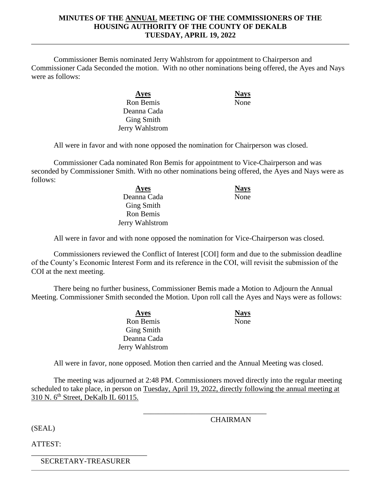#### **MINUTES OF THE ANNUAL MEETING OF THE COMMISSIONERS OF THE HOUSING AUTHORITY OF THE COUNTY OF DEKALB TUESDAY, APRIL 19, 2022**

Commissioner Bemis nominated Jerry Wahlstrom for appointment to Chairperson and Commissioner Cada Seconded the motion. With no other nominations being offered, the Ayes and Nays were as follows:

> **Ayes Nays** Ron Bemis Deanna Cada Ging Smith Jerry Wahlstrom

None

All were in favor and with none opposed the nomination for Chairperson was closed.

Commissioner Cada nominated Ron Bemis for appointment to Vice-Chairperson and was seconded by Commissioner Smith. With no other nominations being offered, the Ayes and Nays were as follows:

> **Ayes Nays** Deanna Cada Ging Smith Ron Bemis Jerry Wahlstrom

None

All were in favor and with none opposed the nomination for Vice-Chairperson was closed.

Commissioners reviewed the Conflict of Interest [COI] form and due to the submission deadline of the County's Economic Interest Form and its reference in the COI, will revisit the submission of the COI at the next meeting.

There being no further business, Commissioner Bemis made a Motion to Adjourn the Annual Meeting. Commissioner Smith seconded the Motion. Upon roll call the Ayes and Nays were as follows:

> **Ayes Nays** Ron Bemis Ging Smith Deanna Cada Jerry Wahlstrom

None

All were in favor, none opposed. Motion then carried and the Annual Meeting was closed.

The meeting was adjourned at 2:48 PM. Commissioners moved directly into the regular meeting scheduled to take place, in person on Tuesday, April 19, 2022, directly following the annual meeting at 310 N. 6<sup>th</sup> Street, DeKalb IL 60115.

\_\_\_\_\_\_\_\_\_\_\_\_\_\_\_\_\_\_\_\_\_\_\_\_\_\_\_\_\_\_\_\_\_

(SEAL)

**CHAIRMAN** 

ATTEST:

\_\_\_\_\_\_\_\_\_\_\_\_\_\_\_\_\_\_\_\_\_\_\_\_\_\_\_\_\_\_\_ SECRETARY-TREASURER